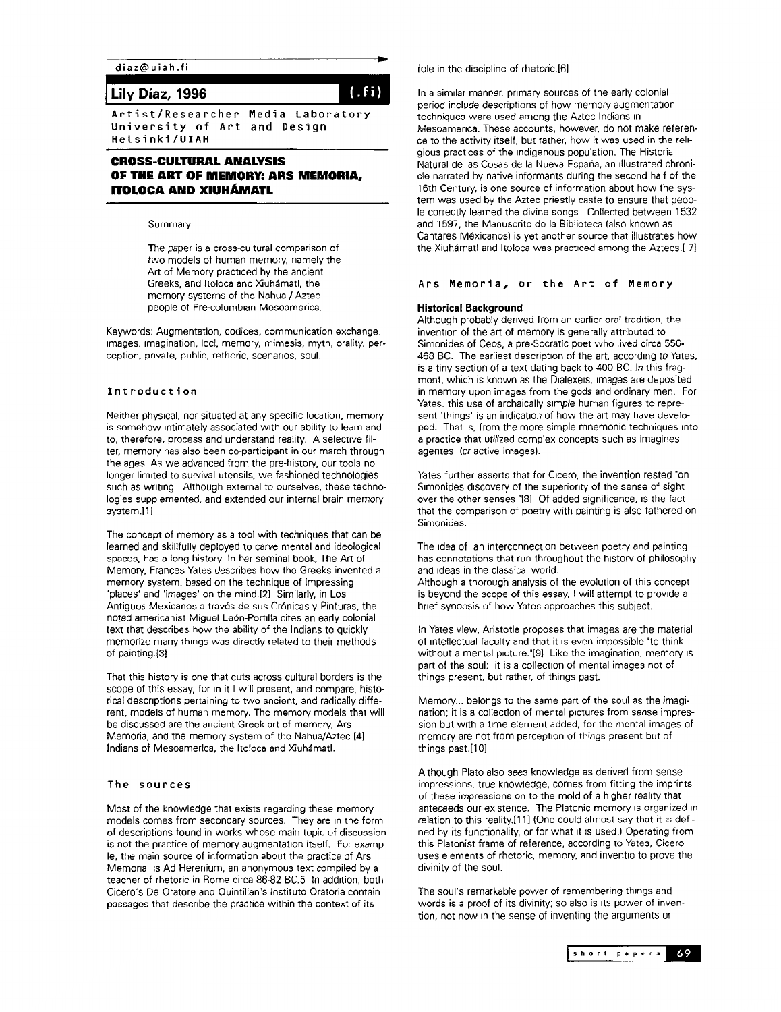diaz@uiah.fi

# Lily Diaz, 1996

Artist/Researcher Media Laboratory University of Art and Design Helsinki/UIAH

# CROSS-CULTURAL ANALYSIS OF THE ART OF MEMORY: ARS MEMORIA, ITOLOCA AND XIUHÁMATL

#### Summary

The paper is a cross-cultural comparison of two models of human memory, namely the Art of Memory practiced by the ancient Greeks, and ltoloca and Xiuhamatl. the memory systems of the Nahua / Aztec people of Pre-columbian Mesoamerica.

Keywords: Augmentation, codices, communication exchange, Images, Imagination, loci, memory, mimesis, myth, orality, perception, pnvate, public, rethoric. scenarios, soul.

## Introduction

Neither physrcal. nor situated at any specific location, memory is somehow intimately associated with our ability to learn and to, therefore, process and understand reality. A selective filter, memory has also been co-participant in our march through the ages. As we advanced from the pre-history. our tools no longer limited to survival utensils, we fashioned technologies such as writing Although external to ourselves, these technologies supplemented, and extended our internal brain memory system.[1]

The concept of memory as a tool with techniques that can be learned and skillfully deployed to carve mental and ideological spaces, has a long history. In her seminal book, The Art of Memory, Frances Yates describes how the Greeks invented a memory system, based on the technique of impressing 'places' and 'images' on the mind.121 Similarly, in Los Antiguos Mexicanos a través de sus Crónicas y Pinturas, the noted americanist Miguel León-Portilla cites an early colonial text that describes how the ability of the Indians to quickly memorize many things was directly related to their methods of painting.[3]

That this history is one that cuts across cultural borders is the scope of this essay, for in it I will present, and compare, historical descriptions pertaining to two ancient, and radically different, models of human memory. The memory models that will be discussed are the ancient Greek art of memory, Ars Memoria, and the memory system of the Nahua/Aztec 141 Indians of Mesoamerica, the ltoloca and Xiuhamatl.

### The sources

Most of the knowledge that exists regarding these memory models comes from secondary sources. They are in the form of descriptions found in works whose main topic of discussion is not the practice of memory augmentation itself. For examp le, the main source of information about the practice of Ars Memona is Ad Herenium, an anonymous text compiled by a teacher of rhetoric in Rome circa 86-82 BC.5 In addition, both Cicero's De Oratore and Quintilian's lnstituto Oratoria contain passages that describe the practice within the context of its

role in the discipline of rhetoric.[6]

In a similar manner, primary sources of the early colonial period include descriptions of how memory augmentation techniques were used among the Aztec Indians in Mesoamenca. These accounts, however, do not make reference to the activity itself, but rather, how it was used in the relrgious practices of the Indigenous population. The Historia Natural de las Cosas de la Nueva España, an illustrated chronicle narrated by native informants during the second half of the 16th Century, is one source of information about how the system was used by the Aztec priestly caste to ensure that people correctly learned the divine songs, Collected between 1532 and 1597, the Manuscrito de la Biblioteca (also known as Cantares Mexicanos) is yet another source that illustrates how the Xiuhámatl and Itoloca was practiced among the Aztecs.[7]

## Ars Memoria, or the Art of Memory

#### Historical Background

Although probably derived from an earlier oral tradition, the invention of the art of memory is generally attributed to Simonides of Ceos. a pre-Socratic poet who lived circa 556- 468 BC. The earliest description of the art, according to Yates, is a tiny section of a text dating back to 400 BC. In this fragment, which is known as the Dialexeis, images are deposited in memory upon images from the gods and ordinary men. For Yates, this use of archaically simple human figures to represent 'things' is an indication of how the art may have developed. That is, from the more simple mnemonic techniques into a practice that utilized complex concepts such as imagines agentes (or active images).

Yates further asserts that for Cicero, the invention rested 'on Simonides discovery of the superiority of the sense of sight over the other senses.<sup>"[8]</sup> Of added significance, is the fact that the comparison of poetry with painting is also fathered on **Simonides** 

The idea of an interconnection between poetry and painting has connotations that run throughout the history of philosophy and ideas in the classical world. Although a thorough analysis of the evolution of this concept is beyond the scope of this essay, I will attempt to provide a

brief synopsis of how Yates approaches this subject.

In Yates view, Aristotle proposes that images are the material of intellectual faculty and that it is even impossible 'to think without a mental picture.'[9] Like the imagination, memory is part of the soul: it is a collection of mental images not of things present, but rather, of things past.

Memory... belongs to the same part of the soul as the imagination; it is a collection of mental pictures from sense impression but with a time element added, for the mental images of memory are not from perception of things present but of things past.[10]

Although Plato also sees knowledge as derived from sense impressions, true knowledge, comes from fitting the imprints of these impressions on to the mold of a higher reality that anteceeds our existence. The Platonic memory is organized In relation to this reality.[11] (One could almost say that it is defined by its functionality, or for what It is used.) Operating from this Platonist frame of reference, according to Yates, Cicero uses elements of rhetoric, memory, and inventio to prove the divinity of the soul.

The soul's remarkable power of remembering things and words is a proof of its divinity; so also is Its power of invention, not now In the sense of inventing the arguments or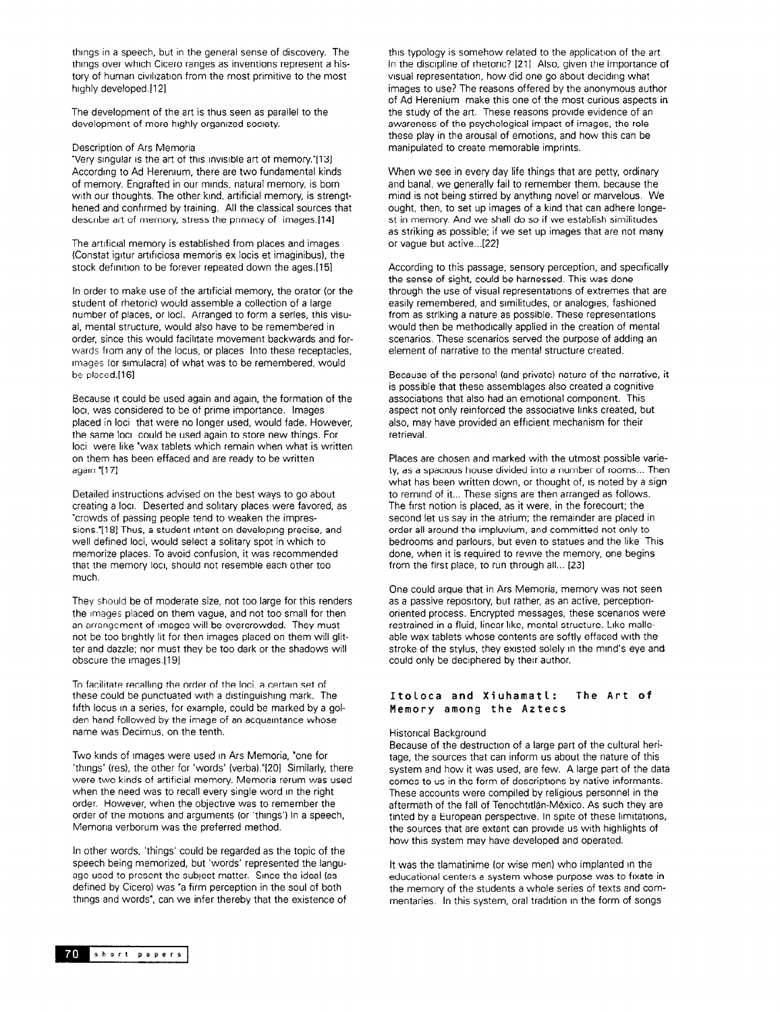things in a speech, but in the general sense of discovery. The things over which Cicero ranges as inventions represent a history of human civilization from the most primitive to the most highly developed.[12]

The development of the art is thus seen as parallel to the development of more highly organized society.

#### Description of Ars Memoria

'Very singular IS the art of this invisible art of memory.'[l31 According to Ad Herenium, there are two fundamental kinds of memory. Engrafted in our minds, natural memory, is born with our thoughts. The other kind, artificial memory, is strengthened and confrrmed by training. All the classical sources that describe art of memory, stress the primacy of images.[14]

The artificial memory is established from places and images (Constat igrtur artrfrciosa memoris ex locis et imaginibus), the stock definition to be forever repeated down the ages.[15]

In order to make use of the artificial memory, the orator (or the student of rhetoric) would assemble a collection of a large number of places, or loci. Arranged to form a series, this visual, mental structure, would also have to be remembered in order, since this would facilitate movement backwards and forwards from any of the locus, or places Into these receptacles, images (or srmulacra) of what was to be remembered, would be placed.[16]

Because it could be used again and again, the formation of the loci. was considered to be of prime importance. Images placed in loci that were no longer used, would fade. However, the same loci could be used again to store new things. For loci were like 'wax tablets which remain when what is written on them has been effaced and are ready to be written again "[17]

Detailed instructions advised on the best ways to go about creating a loci. Deserted and solitary places were favored, as "crowds of passing people tend to weaken the impressions.'[18] Thus, a student intent on developing precise, and well defined loci, would select a solitary spot in which to memorize places. To avoid confusion, it was recommended that the memory loci, should not resemble each other too much.

They should be of moderate size, not too large for this renders the images placed on them vague, and not too small for then an arrangement of images will be overcrowded. They must not be too bnghtly lit for then images placed on them will glitter and dazzle; nor must they be too dark or the shadows will obscure the images.[19]

To facilitate recalling the order of the loci, a certain set of these could be punctuated with a distinguishing mark. The fifth locus in a series, for example, could be marked by a golden hand followed by the image of an acquaintance whose name was Decimus, on the tenth.

Two kinds of Images were used In Ars Memoria. 'one for 'things' (res), the other for 'words' (verba)."[20] Similarly, there were two kinds of artificial memory. Memoria rerum was used when the need was to recall every single word In the right order. However, when the objective was to remember the order of the motions and arguments (or 'things') in a speech, Memona verborum was the preferred method.

In other words, 'things' could be regarded as the topic of the speech being memorized, but 'words' represented the language used to present the subject matter. Since the ideal (as defined by Cicero) was "a firm perception in the soul of both things and words', can we infer thereby that the existence of this typology is somehow related to the application of the art in the discipline of rhetoric? [21] Also, given the importance of visual representation, how did one go about deciding what images to use? The reasons offered by the anonymous author of Ad Herenium make this one of the most curious aspects in the study of the art. These reasons provide evidence of an awareness of the psychological impact of images, the role these play in the arousal of emotions, and how this can be manipulated to create memorable imprints.

When we see in every day life things that are petty, ordinary and banal, we generally fail to remember them, because the mind is not being stirred by anything novel or marvelous. We ought, then, to set up images of a kind that can adhere longest in memory. And we shall do so if we establish similitudes as striking as possible; if we set up images that are not many or vague but active...[ZZJ

According to this passage, sensory perception, and specrfically the sense of sight, could be harnessed. This was done through the use of visual representations of extremes that are easily remembered, and similitudes, or analogies, fashioned from as striking a nature as possible. These representations would then be methodically applied in the creation of mental scenarios. These scenarios served the purpose of adding an element of narrative to the mental structure created.

Because of the personal (and private) nature of the narrative, it is possible that these assemblages also created a cognitive associations that also had an emotional component. This aspect not only reinforced the associative links created, but also, may have provided an efficient mechanism for their retrieval.

Places are chosen and marked with the utmost possible variety, as a spacious house divided into a number of rooms... Then what has been written down, or thought of, is noted by a sign to remind of it... These signs are then arranged as follows. The first notion is placed, as it were, in the forecourt; the second let us say in the atrium; the remainder are placed in order all around the impluvium. and committed not only to bedrooms and parlours, but even to statues and the like This done, when it is required to revive the memory, one begins from the first place, to run through all... [23]

One could argue that in Ars Memoria, memory was not seen as a passive repository, but rather, as an active, perceptionoriented process. Encrypted messages, these scenarios were restrained in a fluid, linear-like, mental structure. Like malleable wax tablets whose contents are softly effaced with the stroke of the stylus, they existed solely in the mind's eye and could only be deciphered by their author.

## Itoloca and Xiuhamatl: The Art of Memory among the Aztecs

#### Histoncal Background

Because of the destruction of a large part of the cultural heritage, the sources that can inform us about the nature of this system and how it was used, are few. A large part of the data comes to us in the form of descriptions by native informants. These accounts were compiled by religious personnel in the aftermath of the fall of Tenochtitlán-México. As such they are tinted by a European perspective. In spite of these limitations, the sources that are extant can provide us with highlights of how this system may have developed and operated.

It was the tlamatinime for wise men) who implanted in the educational centers a system whose purpose was to fixate in the memory of the students a whole series of texts and commentaries. In this system, oral tradition in the form of songs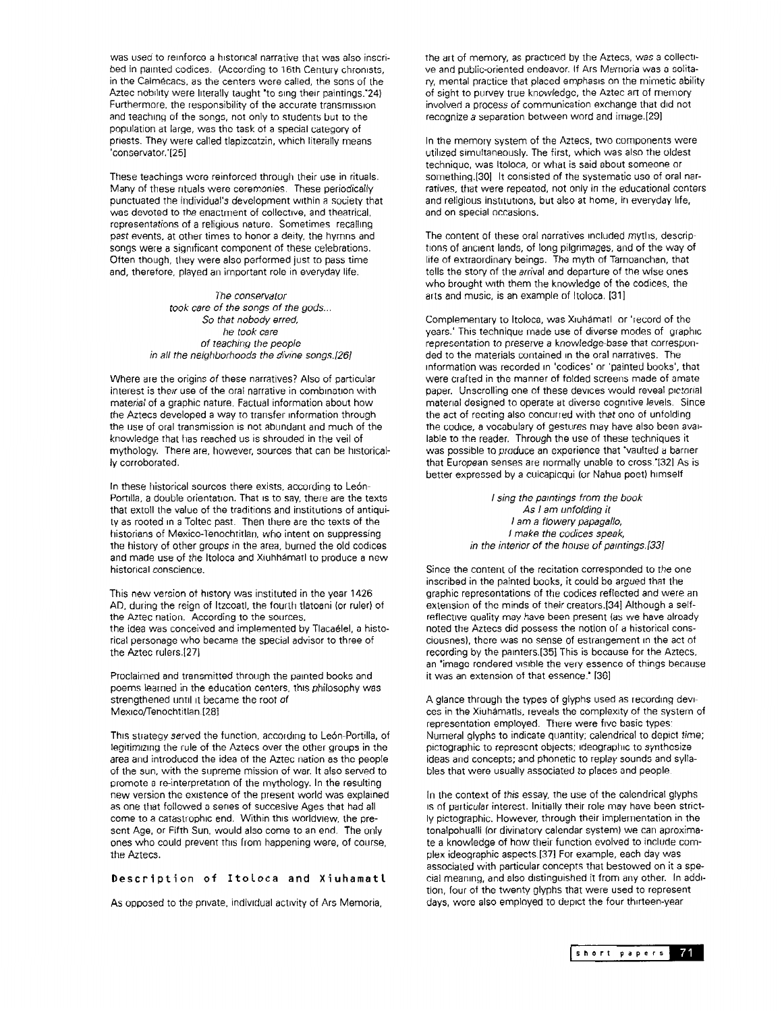was used to reinforce a historical narrative that was also inscribed in painted codices. (According to 16th Century chronists, in the Calmecacs, as the centers were called, the sons of the Aztec nobility were literally taught 'to sing their paintings.'24) Furthermore, the responsibility of the accurate transmrssron and teaching of the songs, not only to students but to the population at large, was the task of a special category of priests. They were called tlapizcatzin. which literally means 'conservator.'[251

These teachings were reinforced through their use in rituals. Many of these ntuals were ceremonies. These periodically punctuated the individual's development within a society that was devoted to the enactment of collective, and theatrical, representations of a religious nature. Sometimes recalling past events, at other times to honor a deity, the hymns and songs were a significant component of these celebrations. Often though, they were also performed just to pass time and, therefore, played an important role in everyday life.

> The conservator took care of the songs of the gods... So that nobody erred, he took care of teaching the people in all the neighborhoods the divine songs.[26]

Where are the origins of these narratives? Also of particular interest is their use of the oral narrative in combination with material of a graphic nature. Factual information about how the Aztecs developed a way to transfer information through the use of oral transmission is not abundant and much of the knowledge that has reached us is shrouded in the veil of mythology. There are, however, sources that can be historically corroborated.

In these historical sources there exists, according to León-Portilla, a double orientation. That is to say, there are the texts that extoll the value of the traditions and institutions of antiquity as rooted in a Toltec past. Then there are the texts of the historians of Mexico-Tenochtitlan, who intent on suppressing the history of other groups in the area, burned the old codices and made use of the ltoloca and Xiuhhamatl to produce a new historical conscience.

This new version of history was instituted in the year 1426 AD, during the reign of Itzcoatl, the fourth tlatoani (or ruler) of the Aztec nation. According to the sources, the idea was conceived and implemented by Tlacaelel, a historical personage who became the special advisor to three of the Aztec rulers.1271

Proclaimed and transmitted through the painted books and poems learned in the education centers, this philosophy was strengthened until it became the root of Mexico/Tenochtitlan.[28]

This strategy served the function, according to Le6n-Portilla, of legitimizing the rule of the Aztecs over the other groups in the area and introduced the idea of the Aztec nation as the people of the sun, with the supreme mission of war. It also served to promote a re-interpretation of the mythology. In the resulting new version the existence of the present world was explained as one that followed a series of succesive Ages that had all come to a catastrophic end. Within this worldview, the present Age, or Fifth Sun, would also come to an end. The only ones who could prevent thus from happening were, of course, the Aztecs.

## Description of Itoloca and Xiuhamatl

As opposed to the private, individual activity of Ars Memoria,

the art of memory, as practiced by the Aztecs, was a collectrve and public-oriented endeavor. If Ars Memoria was a solitary, mental practice that placed emphasis on the mimetic ability of sight to purvey true knowledge, the Aztec art of memory involved a process of communication exchange that did not recognize a separation between word and image.[29]

In the memory system of the Aztecs, two components were utilized simultaneously. The first, which was also the oldest technique, was Itoloca, or what is said about someone or something [30] It consisted of the systematic use of oral narratives, that were repeated, not only in the educational centers and religious institutions, but also at home, in everyday life, and on special occasions.

The content of these oral narratives included myths, descriptions of ancient lands, of long pilgrimages, and of the way of life of extraordinary beings. The myth of Tamoanchan, that tells the story of the arrival and departure of the wise ones who brought with them the knowledge of the codices, the arts and music, is an example of Itoloca. [311

Complementary to Itoloca, was Xruhamatl or 'record of the years.' This technique made use of diverse modes of graphic representation to preserve a knowledge-base that corresponded to the materials contained in the oral narratives. The information was recorded in 'codices' or 'painted books', that were crafted in the manner of folded screens made of amate paper. Unscrolling one of these devices would reveal pictorial material designed to operate at diverse cognitive levels. Since the act of reciting also concurred with that one of unfolding the codice, a vocabulary of gestures may have also been available to the reader. Through the use of these techniques it was possible to produce an experience that "vaulted a barrier that European senses are normally unable to cross."[32] As is better expressed by a cuicapicqui (or Nahua poet) himself

> I sing the paintings from the book As I am unfolding it I am a flowery papagallo, I make the codices speak, in the interior of the house of paintings.[33]

Since the content of the recitation corresponded to the one inscribed in the painted books, it could be argued that the graphic representations of the codices reflected and were an extension of the minds of their creators.[34] Although a selfreflective quality may have been present (as we have already noted the Aztecs did possess the notion of a historical consciousnes), there was no sense of estrangement In the act of recording by the parnters.[35] This is because for the Aztecs, an "image rendered visible the very essence of things because it was an extension of that essence." [36]

A glance through the types of glyphs used as recording devrces in the Xiuhamatls, reveals the complexity of the system of representation employed. There were five basic types: Numeral glyphs to indicate quantity; calendrical to depict time; pictographic to represent objects; rdeographrc to synthesize ideas and concepts; and phonetic to replay sounds and syllables that were usually associated to places and people.

In the context of this essay, the use of the calendrical glyphs is of particular interest. Initially their role may have been strictly pictographic. However, through their implementation in the tonalpohualli (or divinatory calendar system) we can aproximate a knowledge of how their function evolved to include complex ideographic aspects.[37] For example, each day was associated with particular concepts that bestowed on it a special meaning, and also distinguished it from any other. In addrtion, four of the twenty glyphs that were used to represent days, were also employed to depict the four thrrteen-year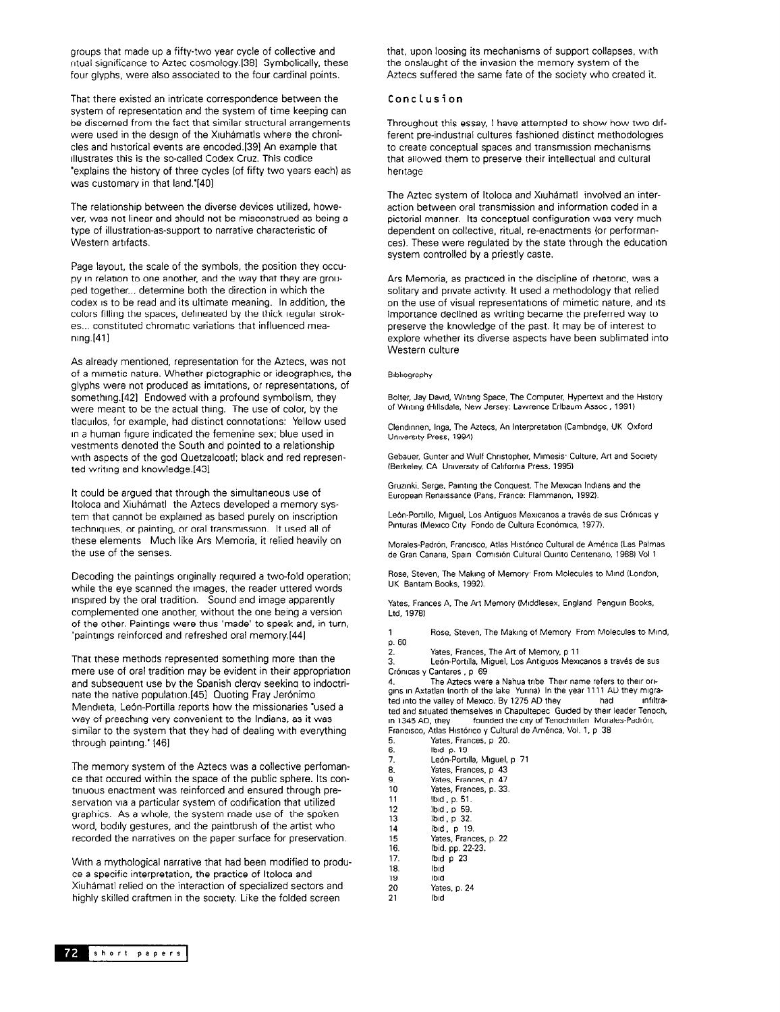groups that made up a fifty-two year cycle of collective and ntual significance to Aztec cosmology.1381 Symbolically, these four glyphs, were also associated to the four cardinal points.

That there existed an intricate correspondence between the system of representation and the system of time keeping can be discerned from the fact that similar structural arrangements were used in the design of the Xiuhámatls where the chronicles and hrstorical events are encoded.[391 An example that rllustrates this is the so-called Codex Cruz. This codice 'explains the history of three cycles (of fifty two years each) as was customary in that land.'[40]

The relationship between the diverse devices utilized, however, was not linear and should not be misconstrued as being a type of illustration-as-support to narrative characteristic of Western artifacts.

Page layout, the scale of the symbols, the position they occupy in relation to one another, and the way that they are grouped together... determine both the direction in which the codex is to be read and its ultimate meaning. In addition, the colors filling the spaces, delrneated by the thick regular strokes... constituted chromatic variations that influenced meaning.[41]

As already mentioned, representation for the Aztecs, was not of a mimetic nature. Whether pictographic or ideographrcs, the glyphs were not produced as imrtations, or representations. of something.[42] Endowed with a profound symbolism, they were meant to be the actual thing. The use of color, by the tlacurlos. for example, had distinct connotations: Yellow used In a human figure indicated the femenine sex; blue used in vestments denoted the South and pointed to a relationship wrth aspects of the god Quetzalcoatl; black and red represented writing and knowledge.[431

It could be argued that through the simultaneous use of ltoloca and Xiuhamatl the Aztecs developed a memory system that cannot be explained as based purely on inscription techniques, or painting, or oral transmrssron. It used all of these elements Much like Ars Memoria, it relied heavily on the use of the senses.

Decoding the paintings originally required a two-fold operation; while the eye scanned the images. the reader uttered words inspired by the oral tradition. Sound and image apparently complemented one another, without the one being a version of the other. Paintings were thus 'made' to speak and, in turn, 'paintings reinforced and refreshed oral memory.[44]

That these methods represented something more than the mere use of oral tradition may be evident in their appropriation and subsequent use by the Spanish clergy seeking to indoctrinate the native population.[45] Quoting Fray Jerónimo Mendreta, León-Portilla reports how the missionaries 'used a way of preaching very convenient to the Indians, as it was similar to the system that they had of dealing with everything through painting." [46]

The memory system of the Aztecs was a collective perfomance that occured within the space of the public sphere. Its continuous enactment was reinforced and ensured through preservation via a particular system of codrfication that utilized graphics. As a whole, the system made use of the spoken word, bodily gestures, and the paintbrush of the artist who recorded the narratives on the paper surface for preservation.

With a mythological narrative that had been modified to produce a specific interpretation, the practice of ltoloca and Xiuhamatl relied on the interaction of specialized sectors and highly skilled craftmen in the society. Like the folded screen

that, upon loosing its mechanisms of support collapses, wrth the onslaught of the invasion the memory system of the Aztecs suffered the same fate of the society who created it.

## Conclusion

Throughout this essay, I have attempted to show how two drfferent pre-industrial cultures fashioned distinct methodologies to create conceptual spaces and transmrssion mechanisms that allowed them to preserve their intellectual and cultural hentage

The Aztec system of Itoloca and Xiuhámatl involved an interaction between oral transmission and information coded in a pictorial manner. Its conceptual configuration was very much dependent on collective, ritual, re-enactments (or performances). These were regulated by the state through the education system controlled by a priestly caste.

Ars Memoria, as practiced in the discipline of rhetoric. was a solitary and private activity. It used a methodology that relied on the use of visual representations of mimetic nature, and Its importance declined as writing became the preferred way to preserve the knowledge of the past. It may be of interest to explore whether its diverse aspects have been sublimated into Western culture

#### Brbkography

Bolter, Jay David, Writing Space, The Computer, Hypertext and the History of Writing (Hillsdale, New Jersey: Lawrence Erlbaum Assoc, 1991)

Clendinnen, Inga, The Aztecs, An Interpretation (Cambridge, UK Oxford Unrversrty Press, 1994)

Gebauer, Gunter and Wulf Christopher, Mimesis: Culture, Art and Society (Berkeley, CA Unwersrty of Calrfornra Press, 1995)

Gruzrnki. Serge, Parntrng the Conquest. The Mexrcan lndrans and the European Renarssance (Pans. France: Flammanon. 1992).

León-Portillo, Miguel, Los Antiguos Mexicanos a través de sus Crónicas y Pinturas (Mexico City Fondo de Cultura Económica, 1977).

Morales-Padrón. Francisco, Atlas Histórico Cultural de América (Las Palmas de Gran Canaria, Spain Comisión Cultural Quinto Centenario, 1988) Vol 1

Rose, Steven, The Making of Memory<sup>,</sup> From Molecules to Mind (London, UK Bantam Books, 1992).

Yates, Frances A, The Art Memory (Middlesex, England Penguin Books, Ltd, 1978)

1 Rose, Steven, The Making of Memory From Molecules to Mind, p. 60

2. Yates, Frances, The Art of Memory, p 11<br>3. León-Portilla, Miquel, Los Antiguos Mexi

3. León-Portilla, Miguel, Los Antiguos Mexicanos a través de sus<br>Crónicas y Cantares , p. 69 Cantares, p 69

4. The Aztecs were a Nahua tribe Therr name refers to their ongins in Axtatlan (north of the lake Yunina) In the year 1111 AD they migra-<br>ted into the valley of Mexico, By 1275 AD they had infiltrated into the valley of Mexico. By 1275 AD they ted and situated themselves in Chapultepec Guided by their leader Tenoch, rn 1345 AD, they founded the crty of Tenochtrtlan Morales-Padron, Francisco, Atlas Histórico y Cultural de América, Vol. 1, p 38

- 5. Yates, Frances, p 20. 6. lbrd p. 19 7. Ledn-Porhlla. Mrguel. p 71 8. Yates, Frances, p 43<br>9. Yates, Frances, p 47 9. Yates, Frances, p. 47<br>10 Yates, Frances, p. 33. 10 Yates, Frances, p. 33.<br>11 Ibid, p. 51. 11 lbid, p. 51.<br>12 lbid, p. 59. lbid, p 59. 13 lbrd, p 32. 14 **Ibid.** p 19.<br>15 Yates, Franc<br>16. **Ibid.** pp. 22-15 Yates, Frances, p. 22 16. Ibid. pp. 22-23. 17. IbId p 23 18. Ibid<br>19. Ibid 19 Ibid<br>20 Yate
- 20 Yates, p. 24 21 lbrd